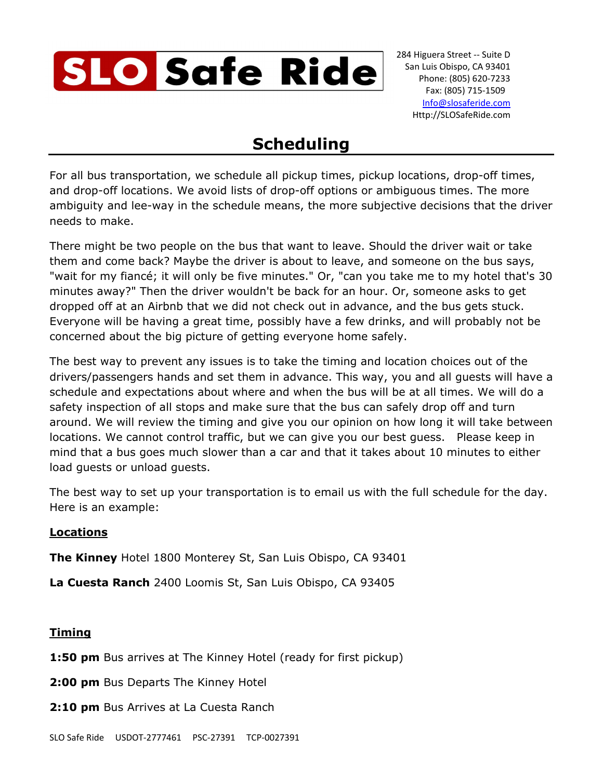

## **Scheduling**

For all bus transportation, we schedule all pickup times, pickup locations, drop-off times, and drop-off locations. We avoid lists of drop-off options or ambiguous times. The more ambiguity and lee-way in the schedule means, the more subjective decisions that the driver needs to make.

There might be two people on the bus that want to leave. Should the driver wait or take them and come back? Maybe the driver is about to leave, and someone on the bus says, "wait for my fiancé; it will only be five minutes." Or, "can you take me to my hotel that's 30 minutes away?" Then the driver wouldn't be back for an hour. Or, someone asks to get dropped off at an Airbnb that we did not check out in advance, and the bus gets stuck. Everyone will be having a great time, possibly have a few drinks, and will probably not be concerned about the big picture of getting everyone home safely.

The best way to prevent any issues is to take the timing and location choices out of the drivers/passengers hands and set them in advance. This way, you and all guests will have a schedule and expectations about where and when the bus will be at all times. We will do a safety inspection of all stops and make sure that the bus can safely drop off and turn around. We will review the timing and give you our opinion on how long it will take between locations. We cannot control traffic, but we can give you our best guess. Please keep in mind that a bus goes much slower than a car and that it takes about 10 minutes to either load guests or unload guests.

The best way to set up your transportation is to email us with the full schedule for the day. Here is an example:

## **Locations**

**The Kinney** Hotel 1800 Monterey St, San Luis Obispo, CA 93401

**La Cuesta Ranch** 2400 Loomis St, San Luis Obispo, CA 93405

## **Timing**

**1:50 pm** Bus arrives at The Kinney Hotel (ready for first pickup)

**2:00 pm** Bus Departs The Kinney Hotel

**2:10 pm** Bus Arrives at La Cuesta Ranch